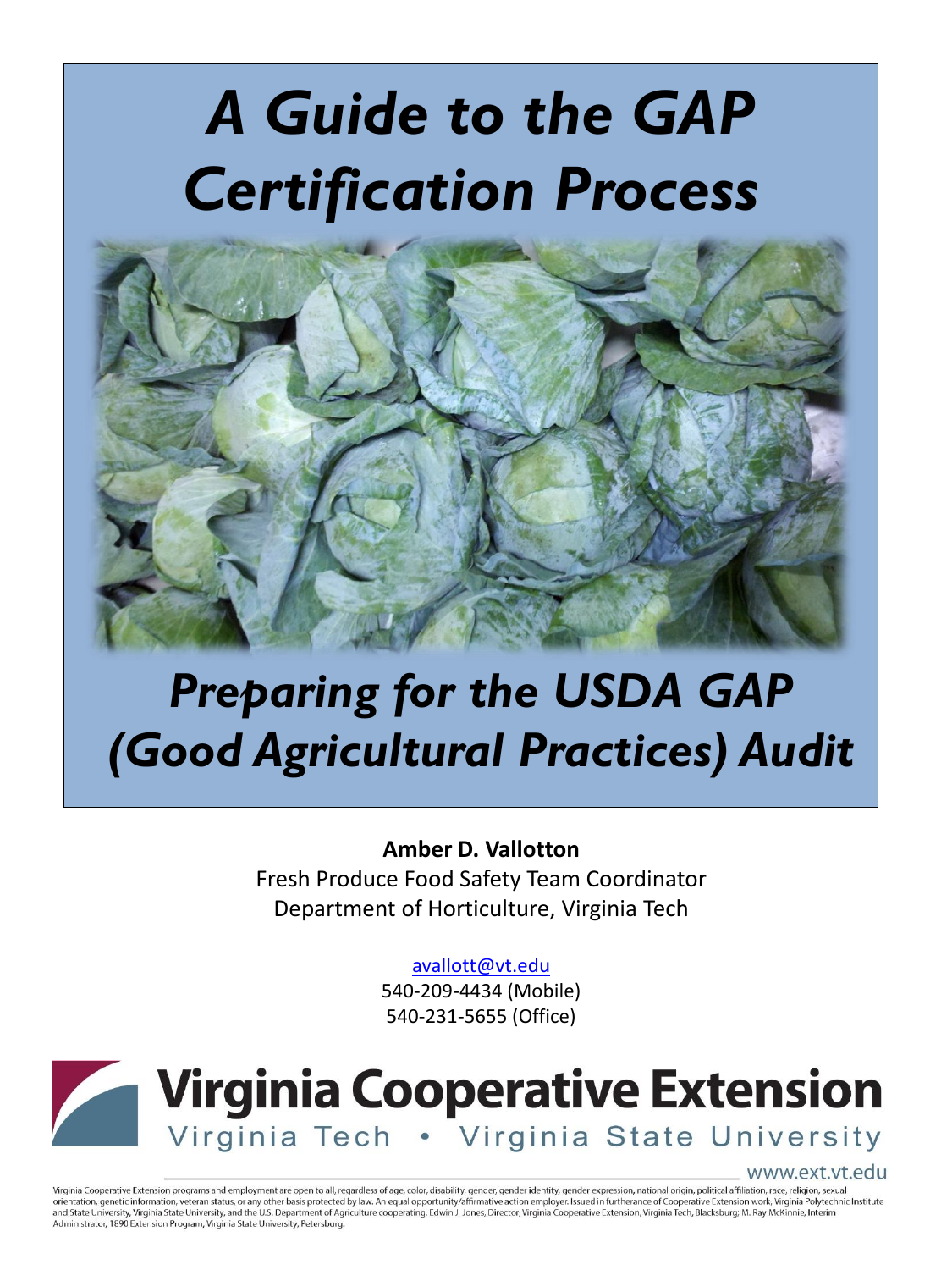# *A Guide to the GAP Certification Process*



## *Preparing for the USDA GAP (Good Agricultural Practices) Audit*

**Amber D. Vallotton** Fresh Produce Food Safety Team Coordinator Department of Horticulture, Virginia Tech

[avallott@vt.edu](mailto:avallott@vt.edu)

540-209-4434 (Mobile) 540-231-5655 (Office)



www.ext.vt.edu

Virginia Cooperative Extension programs and employment are open to all, regardless of age, color, disability, gender, gender identity, gender expression, national origin, political affiliation, race, religion, sexual orientation, genetic information, veteran status, or any other basis protected by law. An equal opportunity/affirmative action employer. Issued in furtherance of Cooperative Extension work, Virginia Polytechnic Institute and State University, Virginia State University, and the U.S. Department of Agriculture cooperating. Edwin J. Jones, Director, Virginia Cooperative Extension, Virginia Tech, Blacksburg; M. Ray McKinnie, Interim Administrator, 1890 Extension Program, Virginia State University, Petersburg.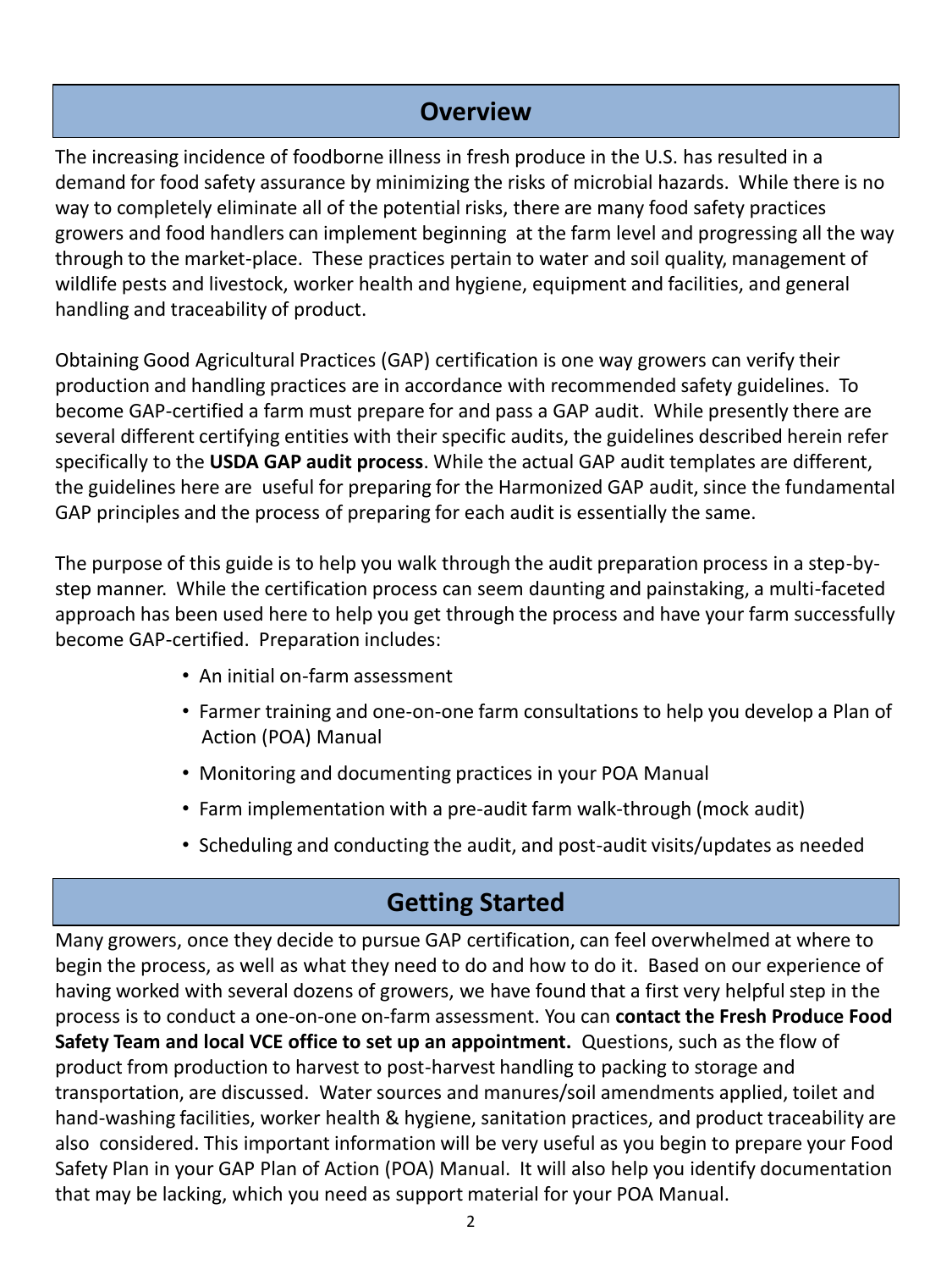#### **Overview**

The increasing incidence of foodborne illness in fresh produce in the U.S. has resulted in a demand for food safety assurance by minimizing the risks of microbial hazards. While there is no way to completely eliminate all of the potential risks, there are many food safety practices growers and food handlers can implement beginning at the farm level and progressing all the way through to the market-place. These practices pertain to water and soil quality, management of wildlife pests and livestock, worker health and hygiene, equipment and facilities, and general handling and traceability of product.

Obtaining Good Agricultural Practices (GAP) certification is one way growers can verify their production and handling practices are in accordance with recommended safety guidelines. To become GAP-certified a farm must prepare for and pass a GAP audit. While presently there are several different certifying entities with their specific audits, the guidelines described herein refer specifically to the **USDA GAP audit process**. While the actual GAP audit templates are different, the guidelines here are useful for preparing for the Harmonized GAP audit, since the fundamental GAP principles and the process of preparing for each audit is essentially the same.

The purpose of this guide is to help you walk through the audit preparation process in a step-bystep manner. While the certification process can seem daunting and painstaking, a multi-faceted approach has been used here to help you get through the process and have your farm successfully become GAP-certified. Preparation includes:

- An initial on-farm assessment
- Farmer training and one-on-one farm consultations to help you develop a Plan of Action (POA) Manual
- Monitoring and documenting practices in your POA Manual
- Farm implementation with a pre-audit farm walk-through (mock audit)
- Scheduling and conducting the audit, and post-audit visits/updates as needed

### **Getting Started**

Many growers, once they decide to pursue GAP certification, can feel overwhelmed at where to begin the process, as well as what they need to do and how to do it. Based on our experience of having worked with several dozens of growers, we have found that a first very helpful step in the process is to conduct a one-on-one on-farm assessment. You can **contact the Fresh Produce Food Safety Team and local VCE office to set up an appointment.** Questions, such as the flow of product from production to harvest to post-harvest handling to packing to storage and transportation, are discussed. Water sources and manures/soil amendments applied, toilet and hand-washing facilities, worker health & hygiene, sanitation practices, and product traceability are also considered. This important information will be very useful as you begin to prepare your Food Safety Plan in your GAP Plan of Action (POA) Manual. It will also help you identify documentation that may be lacking, which you need as support material for your POA Manual.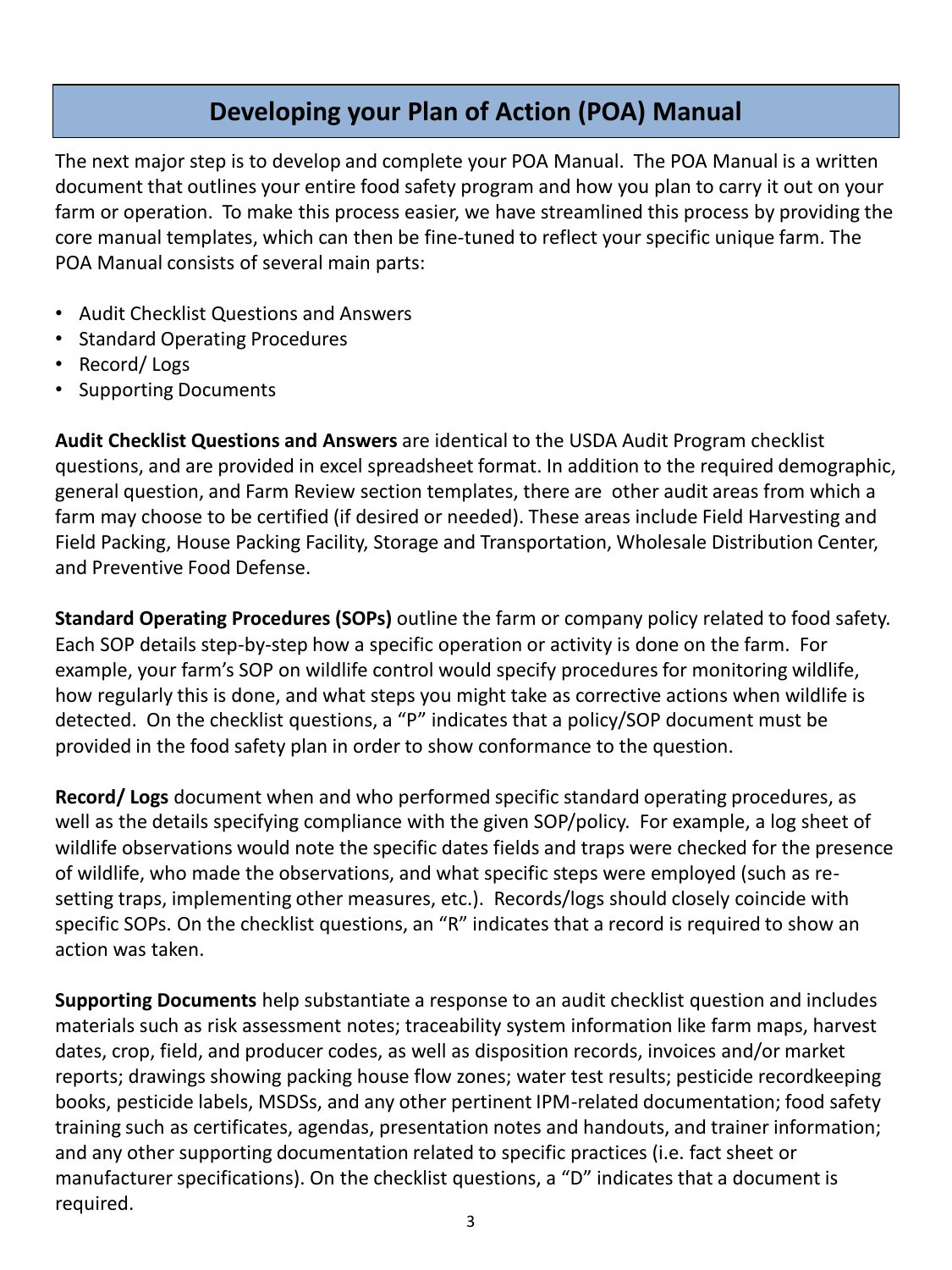### **Developing your Plan of Action (POA) Manual**

The next major step is to develop and complete your POA Manual. The POA Manual is a written document that outlines your entire food safety program and how you plan to carry it out on your farm or operation. To make this process easier, we have streamlined this process by providing the core manual templates, which can then be fine-tuned to reflect your specific unique farm. The POA Manual consists of several main parts:

- Audit Checklist Questions and Answers
- Standard Operating Procedures
- Record/ Logs
- Supporting Documents

**Audit Checklist Questions and Answers** are identical to the USDA Audit Program checklist questions, and are provided in excel spreadsheet format. In addition to the required demographic, general question, and Farm Review section templates, there are other audit areas from which a farm may choose to be certified (if desired or needed). These areas include Field Harvesting and Field Packing, House Packing Facility, Storage and Transportation, Wholesale Distribution Center, and Preventive Food Defense.

**Standard Operating Procedures (SOPs)** outline the farm or company policy related to food safety. Each SOP details step-by-step how a specific operation or activity is done on the farm. For example, your farm's SOP on wildlife control would specify procedures for monitoring wildlife, how regularly this is done, and what steps you might take as corrective actions when wildlife is detected. On the checklist questions, a "P" indicates that a policy/SOP document must be provided in the food safety plan in order to show conformance to the question.

**Record/ Logs** document when and who performed specific standard operating procedures, as well as the details specifying compliance with the given SOP/policy. For example, a log sheet of wildlife observations would note the specific dates fields and traps were checked for the presence of wildlife, who made the observations, and what specific steps were employed (such as resetting traps, implementing other measures, etc.). Records/logs should closely coincide with specific SOPs. On the checklist questions, an "R" indicates that a record is required to show an action was taken.

**Supporting Documents** help substantiate a response to an audit checklist question and includes materials such as risk assessment notes; traceability system information like farm maps, harvest dates, crop, field, and producer codes, as well as disposition records, invoices and/or market reports; drawings showing packing house flow zones; water test results; pesticide recordkeeping books, pesticide labels, MSDSs, and any other pertinent IPM-related documentation; food safety training such as certificates, agendas, presentation notes and handouts, and trainer information; and any other supporting documentation related to specific practices (i.e. fact sheet or manufacturer specifications). On the checklist questions, a "D" indicates that a document is required.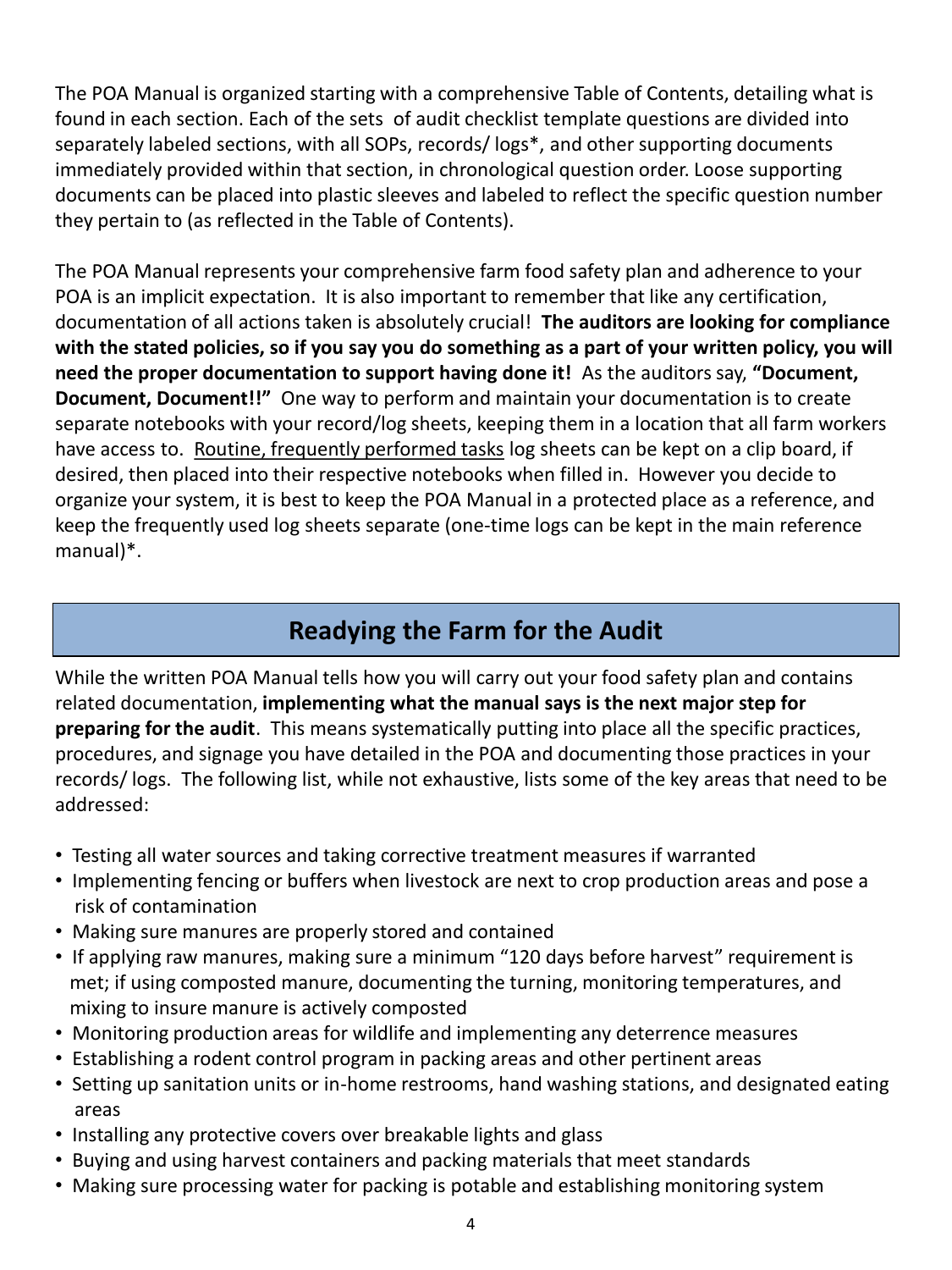The POA Manual is organized starting with a comprehensive Table of Contents, detailing what is found in each section. Each of the sets of audit checklist template questions are divided into separately labeled sections, with all SOPs, records/ logs\*, and other supporting documents immediately provided within that section, in chronological question order. Loose supporting documents can be placed into plastic sleeves and labeled to reflect the specific question number they pertain to (as reflected in the Table of Contents).

The POA Manual represents your comprehensive farm food safety plan and adherence to your POA is an implicit expectation. It is also important to remember that like any certification, documentation of all actions taken is absolutely crucial! **The auditors are looking for compliance with the stated policies, so if you say you do something as a part of your written policy, you will need the proper documentation to support having done it!** As the auditors say, **"Document, Document, Document!!"** One way to perform and maintain your documentation is to create separate notebooks with your record/log sheets, keeping them in a location that all farm workers have access to. Routine, frequently performed tasks log sheets can be kept on a clip board, if desired, then placed into their respective notebooks when filled in. However you decide to organize your system, it is best to keep the POA Manual in a protected place as a reference, and keep the frequently used log sheets separate (one-time logs can be kept in the main reference manual)\*.

#### **Readying the Farm for the Audit**

While the written POA Manual tells how you will carry out your food safety plan and contains related documentation, **implementing what the manual says is the next major step for preparing for the audit**. This means systematically putting into place all the specific practices, procedures, and signage you have detailed in the POA and documenting those practices in your records/ logs. The following list, while not exhaustive, lists some of the key areas that need to be addressed:

- Testing all water sources and taking corrective treatment measures if warranted
- Implementing fencing or buffers when livestock are next to crop production areas and pose a risk of contamination
- Making sure manures are properly stored and contained
- If applying raw manures, making sure a minimum "120 days before harvest" requirement is met; if using composted manure, documenting the turning, monitoring temperatures, and mixing to insure manure is actively composted
- Monitoring production areas for wildlife and implementing any deterrence measures
- Establishing a rodent control program in packing areas and other pertinent areas
- Setting up sanitation units or in-home restrooms, hand washing stations, and designated eating areas
- Installing any protective covers over breakable lights and glass
- Buying and using harvest containers and packing materials that meet standards
- Making sure processing water for packing is potable and establishing monitoring system